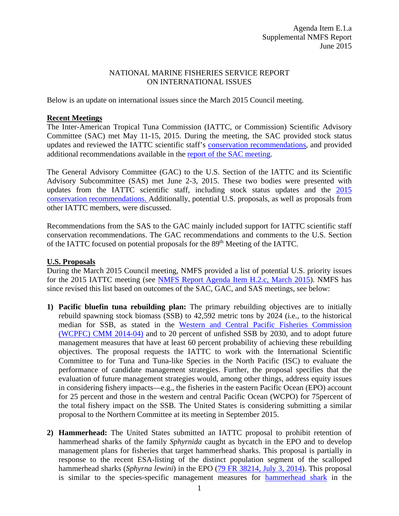## NATIONAL MARINE FISHERIES SERVICE REPORT ON INTERNATIONAL ISSUES

Below is an update on international issues since the March 2015 Council meeting.

## **Recent Meetings**

The Inter-American Tropical Tuna Commission (IATTC, or Commission) Scientific Advisory Committee (SAC) met May 11-15, 2015. During the meeting, the SAC provided stock status updates and reviewed the IATTC scientific staff's [conservation recommendations,](http://www.iattc.org/Meetings/Meetings2015/6SAC/PDFs/SAC-06-11-Conservation-recommendationsREV.pdf) and provided additional recommendations available in the [report of the SAC](https://www.iattc.org/Meetings/Meetings2015/6SAC/PDFs/SAC-06-May-2015-Meeting-Report.pdf) meeting.

The General Advisory Committee (GAC) to the U.S. Section of the IATTC and its Scientific Advisory Subcommittee (SAS) met June 2-3, 2015. These two bodies were presented with updates from the IATTC scientific staff, including stock status updates and the [2015](http://www.iattc.org/Meetings/Meetings2015/6SAC/PDFs/SAC-06-11-Conservation-recommendationsREV.pdf)  [conservation recommendations.](http://www.iattc.org/Meetings/Meetings2015/6SAC/PDFs/SAC-06-11-Conservation-recommendationsREV.pdf) Additionally, potential U.S. proposals, as well as proposals from other IATTC members, were discussed.

Recommendations from the SAS to the GAC mainly included support for IATTC scientific staff conservation recommendations. The GAC recommendations and comments to the U.S. Section of the IATTC focused on potential proposals for the 89<sup>th</sup> Meeting of the IATTC.

## **U.S. Proposals**

During the March 2015 Council meeting, NMFS provided a list of potential U.S. priority issues for the 2015 IATTC meeting (see [NMFS Report Agenda Item H.2.c, March 2015\)](http://www.pcouncil.org/wp-content/uploads/H2c_NMFS_Rpt_MAR2015BB.pdf). NMFS has since revised this list based on outcomes of the SAC, GAC, and SAS meetings, see below:

- **1) Pacific bluefin tuna rebuilding plan:** The primary rebuilding objectives are to initially rebuild spawning stock biomass (SSB) to 42,592 metric tons by 2024 (i.e., to the historical median for SSB, as stated in the [Western and Central Pacific Fisheries Commission](https://www.wcpfc.int/system/files/CMM%202014-04%20Conservation%20and%20Management%20Measure%20to%20establish%20a%20multi-annual%20rebuilding%20plan%20for%20Pacific%20Bluefin.pdf)  (WCPFC) [CMM 2014-04\)](https://www.wcpfc.int/system/files/CMM%202014-04%20Conservation%20and%20Management%20Measure%20to%20establish%20a%20multi-annual%20rebuilding%20plan%20for%20Pacific%20Bluefin.pdf) and to 20 percent of unfished SSB by 2030, and to adopt future management measures that have at least 60 percent probability of achieving these rebuilding objectives. The proposal requests the IATTC to work with the International Scientific Committee to for Tuna and Tuna-like Species in the North Pacific (ISC) to evaluate the performance of candidate management strategies. Further, the proposal specifies that the evaluation of future management strategies would, among other things, address equity issues in considering fishery impacts—e.g., the fisheries in the eastern Pacific Ocean (EPO) account for 25 percent and those in the western and central Pacific Ocean (WCPO) for 75percent of the total fishery impact on the SSB. The United States is considering submitting a similar proposal to the Northern Committee at its meeting in September 2015.
- **2) Hammerhead:** The United States submitted an IATTC proposal to prohibit retention of hammerhead sharks of the family *Sphyrnida* caught as bycatch in the EPO and to develop management plans for fisheries that target hammerhead sharks. This proposal is partially in response to the recent ESA-listing of the distinct population segment of the scalloped hammerhead sharks (*Sphyrna lewini*) in the EPO [\(79 FR 38214, July 3, 2014\)](http://www.gpo.gov/fdsys/pkg/FR-2014-07-03/pdf/2014-15710.pdf). This proposal is similar to the species-specific management measures for [hammerhead shark](http://www.iattc.org/Meetings/Meetings2013/June/pdfs/IATTC-85-PROP-E-1-EU-Hammerhead-sharks.pdf) in the